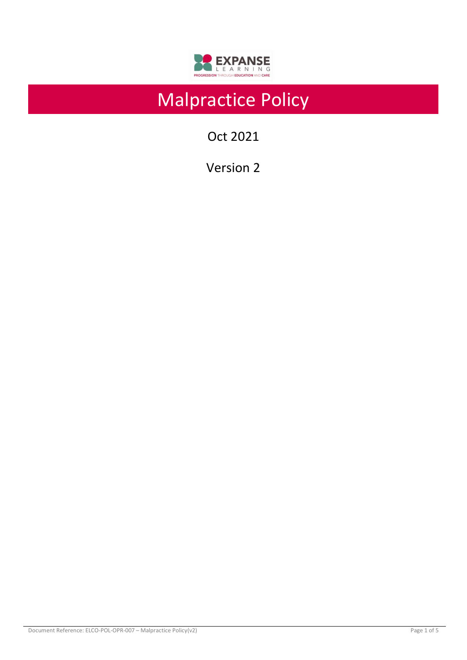

# Malpractice Policy

Oct 2021

Version 2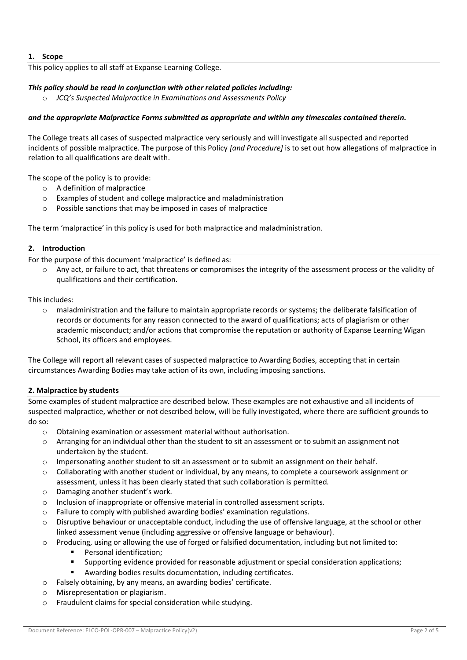## **1. Scope**

This policy applies to all staff at Expanse Learning College.

## *This policy should be read in conjunction with other related policies including:*

o *JCQ's Suspected Malpractice in Examinations and Assessments Policy* 

#### *and the appropriate Malpractice Forms submitted as appropriate and within any timescales contained therein.*

The College treats all cases of suspected malpractice very seriously and will investigate all suspected and reported incidents of possible malpractice. The purpose of this Policy *[and Procedure]* is to set out how allegations of malpractice in relation to all qualifications are dealt with.

The scope of the policy is to provide:

- o A definition of malpractice
- o Examples of student and college malpractice and maladministration
- o Possible sanctions that may be imposed in cases of malpractice

The term 'malpractice' in this policy is used for both malpractice and maladministration.

#### **2. Introduction**

For the purpose of this document 'malpractice' is defined as:

o Any act, or failure to act, that threatens or compromises the integrity of the assessment process or the validity of qualifications and their certification.

This includes:

 $\circ$  maladministration and the failure to maintain appropriate records or systems; the deliberate falsification of records or documents for any reason connected to the award of qualifications; acts of plagiarism or other academic misconduct; and/or actions that compromise the reputation or authority of Expanse Learning Wigan School, its officers and employees.

The College will report all relevant cases of suspected malpractice to Awarding Bodies, accepting that in certain circumstances Awarding Bodies may take action of its own, including imposing sanctions.

#### **2. Malpractice by students**

Some examples of student malpractice are described below. These examples are not exhaustive and all incidents of suspected malpractice, whether or not described below, will be fully investigated, where there are sufficient grounds to do so:

- o Obtaining examination or assessment material without authorisation.
- o Arranging for an individual other than the student to sit an assessment or to submit an assignment not undertaken by the student.
- $\circ$  Impersonating another student to sit an assessment or to submit an assignment on their behalf.
- o Collaborating with another student or individual, by any means, to complete a coursework assignment or assessment, unless it has been clearly stated that such collaboration is permitted.
- o Damaging another student's work.
- o Inclusion of inappropriate or offensive material in controlled assessment scripts.
- o Failure to comply with published awarding bodies' examination regulations.
- o Disruptive behaviour or unacceptable conduct, including the use of offensive language, at the school or other linked assessment venue (including aggressive or offensive language or behaviour).
- o Producing, using or allowing the use of forged or falsified documentation, including but not limited to:
	- Personal identification;
	- Supporting evidence provided for reasonable adjustment or special consideration applications;
	- Awarding bodies results documentation, including certificates.
- o Falsely obtaining, by any means, an awarding bodies' certificate.
- o Misrepresentation or plagiarism.
- o Fraudulent claims for special consideration while studying.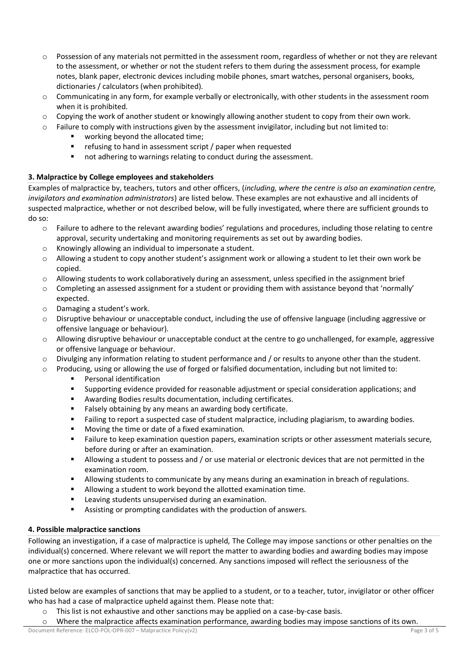- $\circ$  Possession of any materials not permitted in the assessment room, regardless of whether or not they are relevant to the assessment, or whether or not the student refers to them during the assessment process, for example notes, blank paper, electronic devices including mobile phones, smart watches, personal organisers, books, dictionaries / calculators (when prohibited).
- $\circ$  Communicating in any form, for example verbally or electronically, with other students in the assessment room when it is prohibited.
- $\circ$  Copying the work of another student or knowingly allowing another student to copy from their own work.
- $\circ$  Failure to comply with instructions given by the assessment invigilator, including but not limited to:
	- working beyond the allocated time;
	- refusing to hand in assessment script / paper when requested
	- not adhering to warnings relating to conduct during the assessment.

#### **3. Malpractice by College employees and stakeholders**

Examples of malpractice by, teachers, tutors and other officers, (*including, where the centre is also an examination centre, invigilators and examination administrators*) are listed below. These examples are not exhaustive and all incidents of suspected malpractice, whether or not described below, will be fully investigated, where there are sufficient grounds to do so:

- o Failure to adhere to the relevant awarding bodies' regulations and procedures, including those relating to centre approval, security undertaking and monitoring requirements as set out by awarding bodies.
- o Knowingly allowing an individual to impersonate a student.
- $\circ$  Allowing a student to copy another student's assignment work or allowing a student to let their own work be copied.
- o Allowing students to work collaboratively during an assessment, unless specified in the assignment brief
- $\circ$  Completing an assessed assignment for a student or providing them with assistance beyond that 'normally' expected.
- o Damaging a student's work.
- $\circ$  Disruptive behaviour or unacceptable conduct, including the use of offensive language (including aggressive or offensive language or behaviour).
- $\circ$  Allowing disruptive behaviour or unacceptable conduct at the centre to go unchallenged, for example, aggressive or offensive language or behaviour.
- $\circ$  Divulging any information relating to student performance and / or results to anyone other than the student.
- $\circ$  Producing, using or allowing the use of forged or falsified documentation, including but not limited to:
	- Personal identification
	- Supporting evidence provided for reasonable adjustment or special consideration applications; and
	- Awarding Bodies results documentation, including certificates.
	- Falsely obtaining by any means an awarding body certificate.
	- Failing to report a suspected case of student malpractice, including plagiarism, to awarding bodies.
	- Moving the time or date of a fixed examination.
	- Failure to keep examination question papers, examination scripts or other assessment materials secure, before during or after an examination.
	- Allowing a student to possess and / or use material or electronic devices that are not permitted in the examination room.
	- Allowing students to communicate by any means during an examination in breach of regulations.
	- Allowing a student to work beyond the allotted examination time.
	- Leaving students unsupervised during an examination.
	- Assisting or prompting candidates with the production of answers.

#### **4. Possible malpractice sanctions**

Following an investigation, if a case of malpractice is upheld, The College may impose sanctions or other penalties on the individual(s) concerned. Where relevant we will report the matter to awarding bodies and awarding bodies may impose one or more sanctions upon the individual(s) concerned. Any sanctions imposed will reflect the seriousness of the malpractice that has occurred.

Listed below are examples of sanctions that may be applied to a student, or to a teacher, tutor, invigilator or other officer who has had a case of malpractice upheld against them. Please note that:

- $\circ$  This list is not exhaustive and other sanctions may be applied on a case-by-case basis.
- o Where the malpractice affects examination performance, awarding bodies may impose sanctions of its own.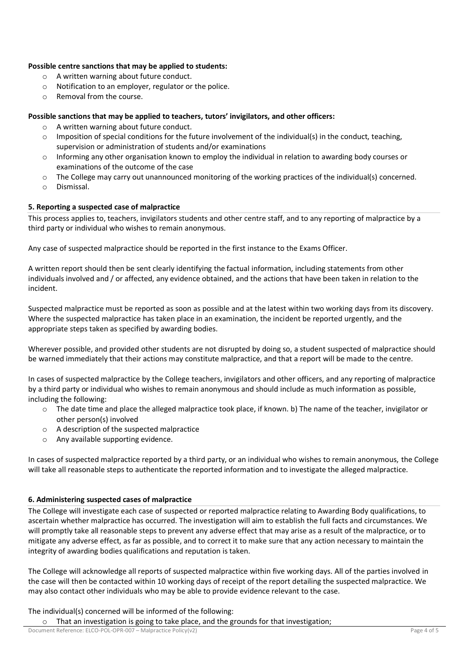#### **Possible centre sanctions that may be applied to students:**

- o A written warning about future conduct.
- o Notification to an employer, regulator or the police.
- o Removal from the course.

## **Possible sanctions that may be applied to teachers, tutors' invigilators, and other officers:**

- o A written warning about future conduct.
- $\circ$  Imposition of special conditions for the future involvement of the individual(s) in the conduct, teaching, supervision or administration of students and/or examinations
- o Informing any other organisation known to employ the individual in relation to awarding body courses or examinations of the outcome of the case
- $\circ$  The College may carry out unannounced monitoring of the working practices of the individual(s) concerned.
- o Dismissal.

#### **5. Reporting a suspected case of malpractice**

This process applies to, teachers, invigilators students and other centre staff, and to any reporting of malpractice by a third party or individual who wishes to remain anonymous.

Any case of suspected malpractice should be reported in the first instance to the Exams Officer.

A written report should then be sent clearly identifying the factual information, including statements from other individuals involved and / or affected, any evidence obtained, and the actions that have been taken in relation to the incident.

Suspected malpractice must be reported as soon as possible and at the latest within two working days from its discovery. Where the suspected malpractice has taken place in an examination, the incident be reported urgently, and the appropriate steps taken as specified by awarding bodies.

Wherever possible, and provided other students are not disrupted by doing so, a student suspected of malpractice should be warned immediately that their actions may constitute malpractice, and that a report will be made to the centre.

In cases of suspected malpractice by the College teachers, invigilators and other officers, and any reporting of malpractice by a third party or individual who wishes to remain anonymous and should include as much information as possible, including the following:

- $\circ$  The date time and place the alleged malpractice took place, if known. b) The name of the teacher, invigilator or other person(s) involved
- o A description of the suspected malpractice
- o Any available supporting evidence.

In cases of suspected malpractice reported by a third party, or an individual who wishes to remain anonymous, the College will take all reasonable steps to authenticate the reported information and to investigate the alleged malpractice.

#### **6. Administering suspected cases of malpractice**

The College will investigate each case of suspected or reported malpractice relating to Awarding Body qualifications, to ascertain whether malpractice has occurred. The investigation will aim to establish the full facts and circumstances. We will promptly take all reasonable steps to prevent any adverse effect that may arise as a result of the malpractice, or to mitigate any adverse effect, as far as possible, and to correct it to make sure that any action necessary to maintain the integrity of awarding bodies qualifications and reputation is taken.

The College will acknowledge all reports of suspected malpractice within five working days. All of the parties involved in the case will then be contacted within 10 working days of receipt of the report detailing the suspected malpractice. We may also contact other individuals who may be able to provide evidence relevant to the case.

The individual(s) concerned will be informed of the following:

o That an investigation is going to take place, and the grounds for that investigation;